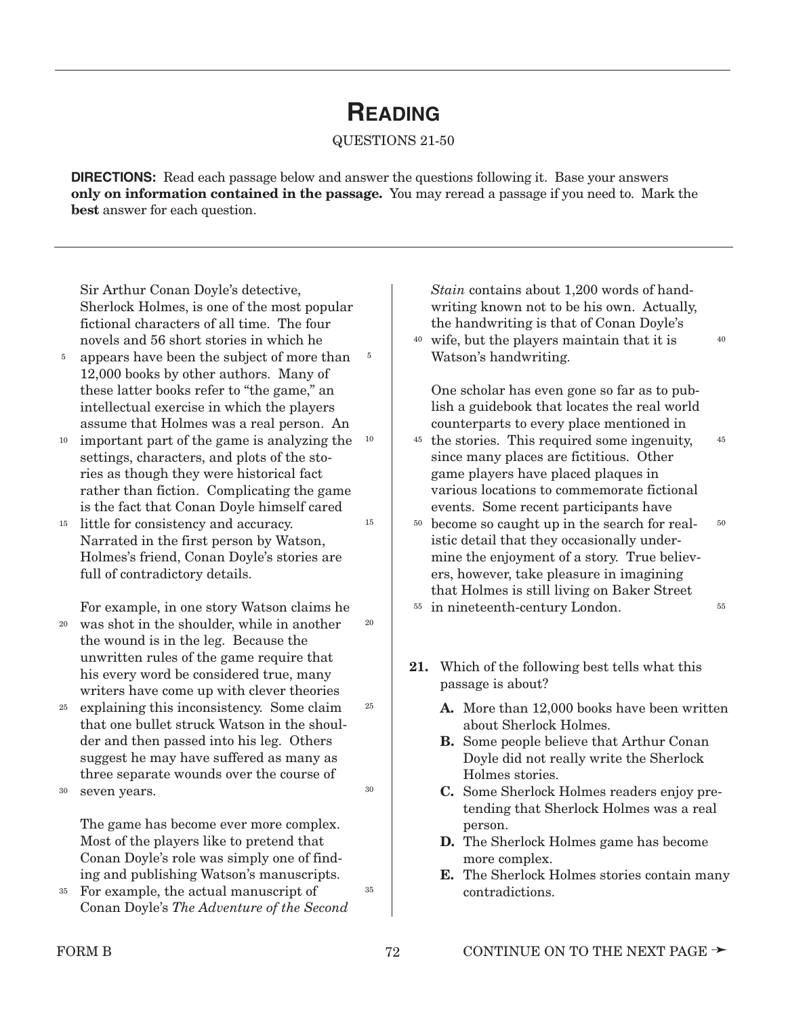## **READING**

#### QUESTIONS 21-50

**DIRECTIONS:** Read each passage below and answer the questions following it. Base your answers **only on information contained in the passage.** You may reread a passage if you need to. Mark the **best** answer for each question.

5

15

20

25

30

35

Sir Arthur Conan Doyle's detective, Sherlock Holmes, is one of the most popular fictional characters of all time. The four novels and 56 short stories in which he

- appears have been the subject of more than 12,000 books by other authors. Many of these latter books refer to "the game," an intellectual exercise in which the players assume that Holmes was a real person. An 5
- important part of the game is analyzing the settings, characters, and plots of the stories as though they were historical fact rather than fiction. Complicating the game is the fact that Conan Doyle himself cared 10 10
- <sup>15</sup> little for consistency and accuracy. Narrated in the first person by Watson, Holmes's friend, Conan Doyle's stories are full of contradictory details.

For example, in one story Watson claims he

- was shot in the shoulder, while in another the wound is in the leg. Because the unwritten rules of the game require that his every word be considered true, many writers have come up with clever theories 20
- explaining this inconsistency. Some claim that one bullet struck Watson in the shoulder and then passed into his leg. Others suggest he may have suffered as many as three separate wounds over the course of 25

seven years. 30

> The game has become ever more complex. Most of the players like to pretend that Conan Doyle's role was simply one of finding and publishing Watson's manuscripts.

For example, the actual manuscript of Conan Doyle's *The Adventure of the Second* 35

*Stain* contains about 1,200 words of handwriting known not to be his own. Actually, the handwriting is that of Conan Doyle's

wife, but the players maintain that it is 40 Watson's handwriting.

40

45

One scholar has even gone so far as to publish a guidebook that locates the real world counterparts to every place mentioned in

- <sup>45</sup> the stories. This required some ingenuity, since many places are fictitious. Other game players have placed plaques in various locations to commemorate fictional events. Some recent participants have
- <sup>50</sup> become so caught up in the search for realistic detail that they occasionally undermine the enjoyment of a story. True believers, however, take pleasure in imagining that Holmes is still living on Baker Street <sup>55</sup> in nineteenth-century London. 50 55
- 
- **21.** Which of the following best tells what this passage is about?
	- **A.** More than 12,000 books have been written about Sherlock Holmes.
	- **B.** Some people believe that Arthur Conan Doyle did not really write the Sherlock Holmes stories.
	- **C.** Some Sherlock Holmes readers enjoy pretending that Sherlock Holmes was a real person.
	- **D.** The Sherlock Holmes game has become more complex.
	- **E.** The Sherlock Holmes stories contain many contradictions.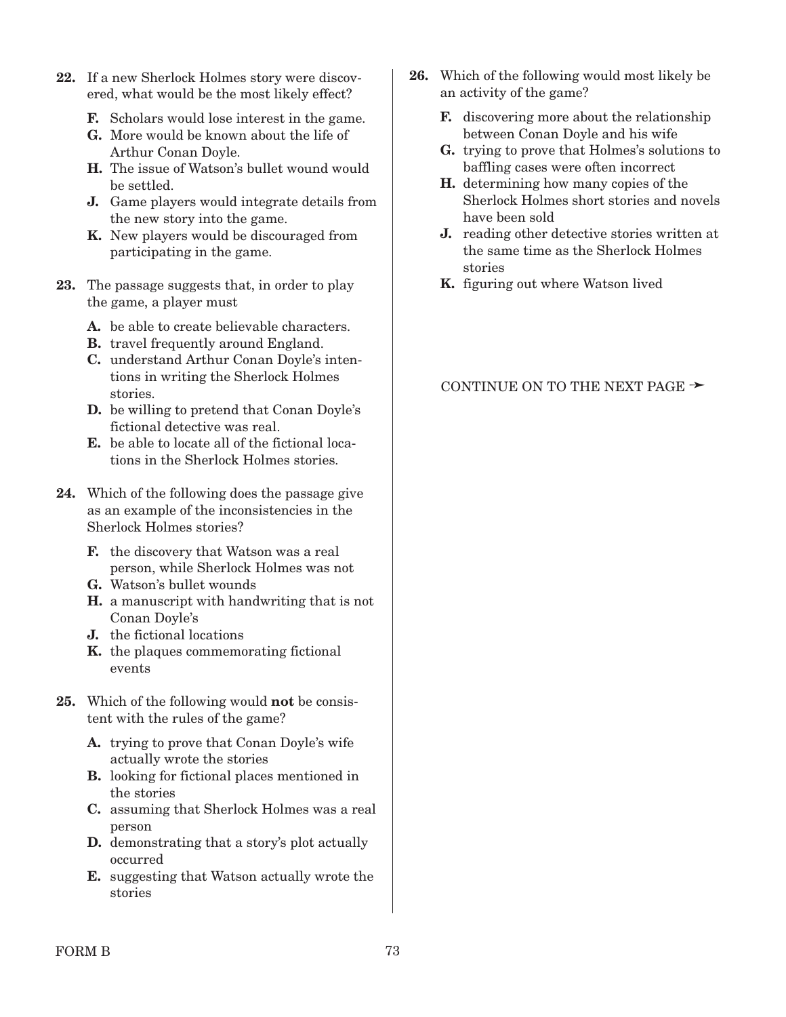- **22.** If a new Sherlock Holmes story were discovered, what would be the most likely effect?
	- **F.** Scholars would lose interest in the game.
	- **G.** More would be known about the life of Arthur Conan Doyle.
	- **H.** The issue of Watson's bullet wound would be settled.
	- **J.** Game players would integrate details from the new story into the game.
	- **K.** New players would be discouraged from participating in the game.
- **23.** The passage suggests that, in order to play the game, a player must
	- **A.** be able to create believable characters.
	- **B.** travel frequently around England.
	- **C.** understand Arthur Conan Doyle's intentions in writing the Sherlock Holmes stories.
	- **D.** be willing to pretend that Conan Doyle's fictional detective was real.
	- **E.** be able to locate all of the fictional locations in the Sherlock Holmes stories.
- **24.** Which of the following does the passage give as an example of the inconsistencies in the Sherlock Holmes stories?
	- **F.** the discovery that Watson was a real person, while Sherlock Holmes was not
	- **G.** Watson's bullet wounds
	- **H.** a manuscript with handwriting that is not Conan Doyle's
	- **J.** the fictional locations
	- **K.** the plaques commemorating fictional events
- **25.** Which of the following would **not** be consistent with the rules of the game?
	- **A.** trying to prove that Conan Doyle's wife actually wrote the stories
	- **B.** looking for fictional places mentioned in the stories
	- **C.** assuming that Sherlock Holmes was a real person
	- **D.** demonstrating that a story's plot actually occurred
	- **E.** suggesting that Watson actually wrote the stories
- **26.** Which of the following would most likely be an activity of the game?
	- **F.** discovering more about the relationship between Conan Doyle and his wife
	- **G.** trying to prove that Holmes's solutions to baffling cases were often incorrect
	- **H.** determining how many copies of the Sherlock Holmes short stories and novels have been sold
	- **J.** reading other detective stories written at the same time as the Sherlock Holmes stories
	- **K.** figuring out where Watson lived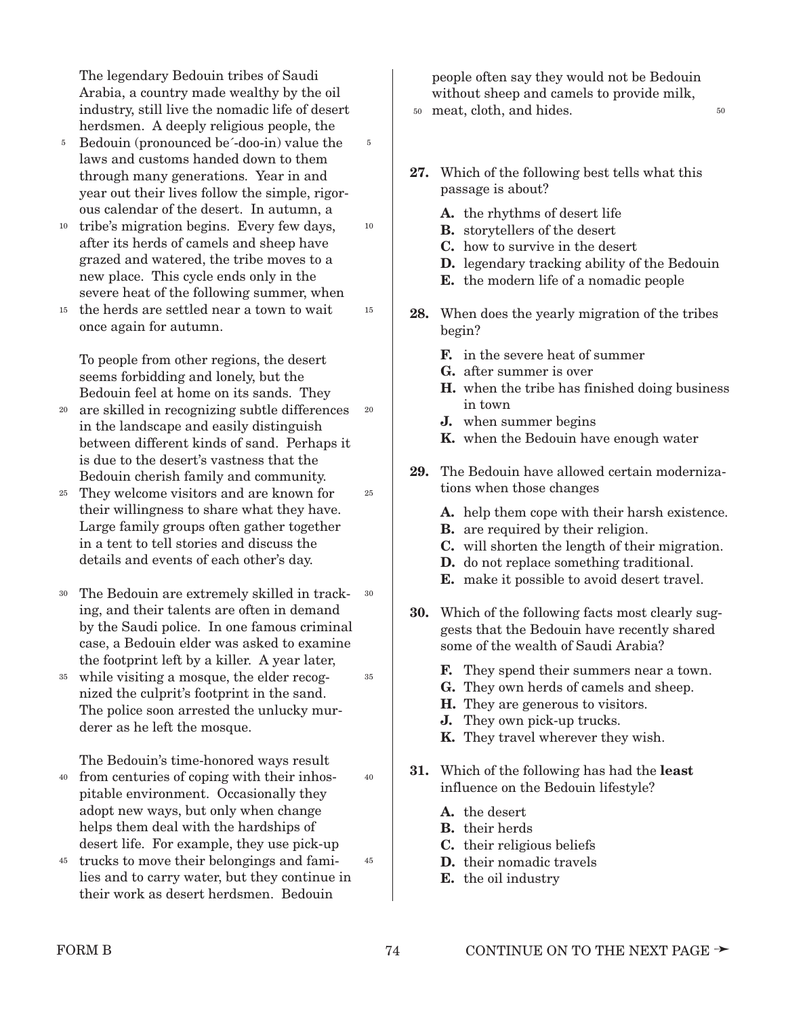The legendary Bedouin tribes of Saudi Arabia, a country made wealthy by the oil industry, still live the nomadic life of desert herdsmen. A deeply religious people, the

- Bedouin (pronounced be´-doo-in) value the laws and customs handed down to them through many generations. Year in and year out their lives follow the simple, rigorous calendar of the desert. In autumn, a 5
- <sup>10</sup> tribe's migration begins. Every few days, after its herds of camels and sheep have grazed and watered, the tribe moves to a new place. This cycle ends only in the severe heat of the following summer, when
- <sup>15</sup> the herds are settled near a town to wait once again for autumn.

To people from other regions, the desert seems forbidding and lonely, but the Bedouin feel at home on its sands. They

- are skilled in recognizing subtle differences in the landscape and easily distinguish between different kinds of sand. Perhaps it is due to the desert's vastness that the Bedouin cherish family and community. 20 20
- They welcome visitors and are known for 25 their willingness to share what they have. Large family groups often gather together in a tent to tell stories and discuss the details and events of each other's day.
- The Bedouin are extremely skilled in tracking, and their talents are often in demand by the Saudi police. In one famous criminal case, a Bedouin elder was asked to examine the footprint left by a killer. A year later, 30 30
- while visiting a mosque, the elder recog-35 nized the culprit's footprint in the sand. The police soon arrested the unlucky murderer as he left the mosque.

The Bedouin's time-honored ways result

- from centuries of coping with their inhospitable environment. Occasionally they adopt new ways, but only when change helps them deal with the hardships of desert life. For example, they use pick-up 40
- <sup>45</sup> trucks to move their belongings and families and to carry water, but they continue in their work as desert herdsmen. Bedouin

people often say they would not be Bedouin without sheep and camels to provide milk,

<sup>50</sup> meat, cloth, and hides. <sup>50</sup>

5

10

15

25

35

40

45

- **27.** Which of the following best tells what this passage is about?
	- **A.** the rhythms of desert life
	- **B.** storytellers of the desert
	- **C.** how to survive in the desert
	- **D.** legendary tracking ability of the Bedouin
	- **E.** the modern life of a nomadic people
- **28.** When does the yearly migration of the tribes begin?
	- **F.** in the severe heat of summer
	- **G.** after summer is over
	- **H.** when the tribe has finished doing business in town
	- **J.** when summer begins
	- **K.** when the Bedouin have enough water
- **29.** The Bedouin have allowed certain modernizations when those changes
	- **A.** help them cope with their harsh existence.
	- **B.** are required by their religion.
	- **C.** will shorten the length of their migration.
	- **D.** do not replace something traditional.
	- **E.** make it possible to avoid desert travel.
- **30.** Which of the following facts most clearly suggests that the Bedouin have recently shared some of the wealth of Saudi Arabia?
	- **F.** They spend their summers near a town.
	- **G.** They own herds of camels and sheep.
	- **H.** They are generous to visitors.
	- **J.** They own pick-up trucks.
	- **K.** They travel wherever they wish.
- **31.** Which of the following has had the **least** influence on the Bedouin lifestyle?
	- **A.** the desert
	- **B.** their herds
	- **C.** their religious beliefs
	- **D.** their nomadic travels
	- **E.** the oil industry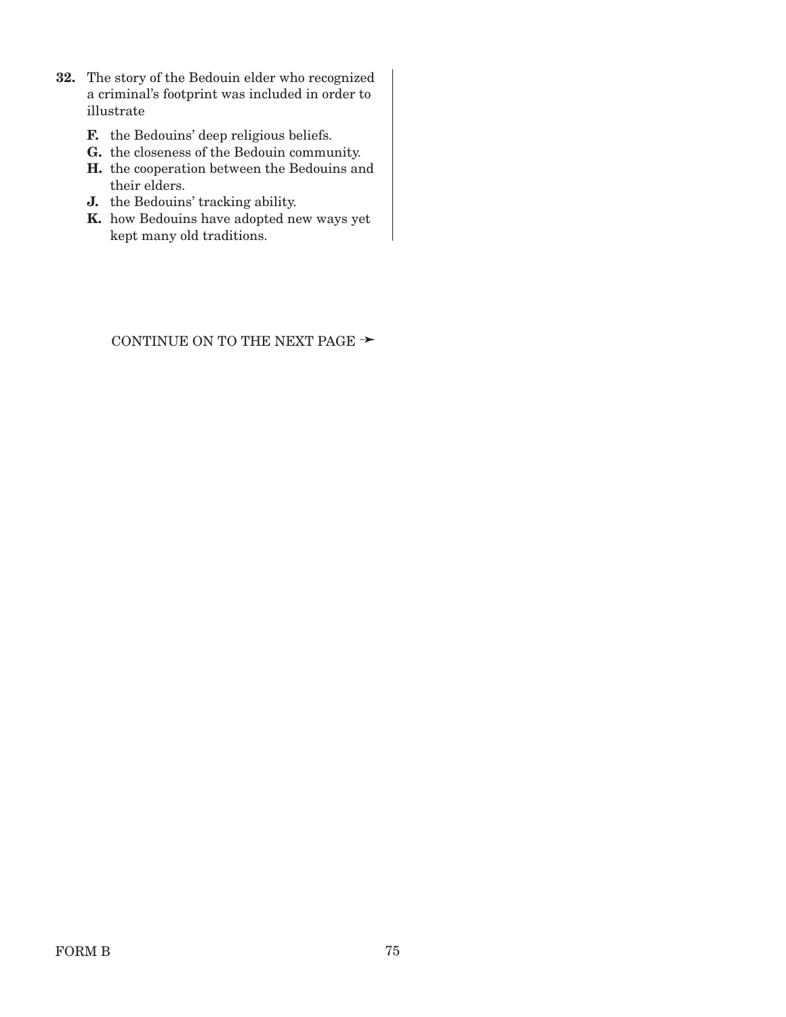- **32.** The story of the Bedouin elder who recognized a criminal's footprint was included in order to illustrate
	- **F.** the Bedouins' deep religious beliefs.
	- **G.** the closeness of the Bedouin community.
	- **H.** the cooperation between the Bedouins and their elders.
	- **J.** the Bedouins' tracking ability.
	- **K.** how Bedouins have adopted new ways yet kept many old traditions.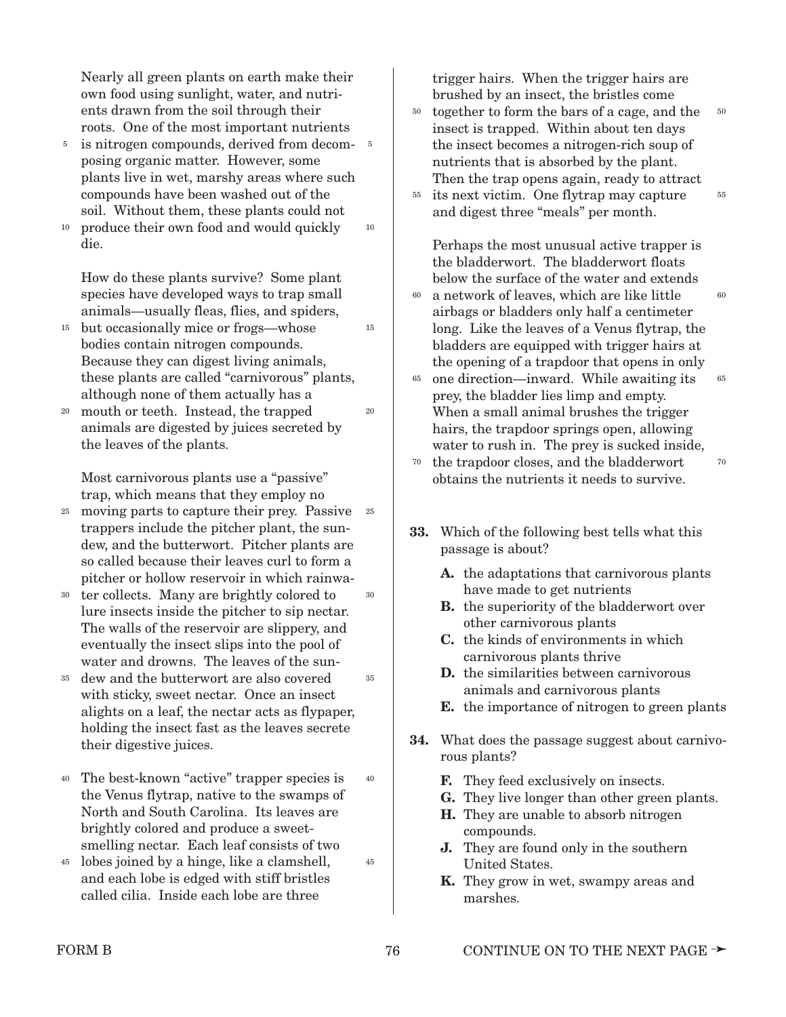Nearly all green plants on earth make their own food using sunlight, water, and nutrients drawn from the soil through their roots. One of the most important nutrients

- is nitrogen compounds, derived from decom-5 posing organic matter. However, some plants live in wet, marshy areas where such compounds have been washed out of the soil. Without them, these plants could not 5
- produce their own food and would quickly die. 10

10

15

20

35

45

How do these plants survive? Some plant species have developed ways to trap small animals—usually fleas, flies, and spiders,

- but occasionally mice or frogs—whose bodies contain nitrogen compounds. Because they can digest living animals, these plants are called "carnivorous" plants, although none of them actually has a 15
- mouth or teeth. Instead, the trapped animals are digested by juices secreted by the leaves of the plants. 20

Most carnivorous plants use a "passive" trap, which means that they employ no

- moving parts to capture their prey. Passive trappers include the pitcher plant, the sundew, and the butterwort. Pitcher plants are so called because their leaves curl to form a pitcher or hollow reservoir in which rainwa-25 25
- ter collects. Many are brightly colored to lure insects inside the pitcher to sip nectar. The walls of the reservoir are slippery, and eventually the insect slips into the pool of water and drowns. The leaves of the sun-30 30
- dew and the butterwort are also covered with sticky, sweet nectar. Once an insect alights on a leaf, the nectar acts as flypaper, holding the insect fast as the leaves secrete their digestive juices. 35
- The best-known "active" trapper species is the Venus flytrap, native to the swamps of North and South Carolina. Its leaves are brightly colored and produce a sweetsmelling nectar. Each leaf consists of two 40 40
- lobes joined by a hinge, like a clamshell, and each lobe is edged with stiff bristles called cilia. Inside each lobe are three 45

trigger hairs. When the trigger hairs are brushed by an insect, the bristles come

50

65

70

- together to form the bars of a cage, and the insect is trapped. Within about ten days the insect becomes a nitrogen-rich soup of nutrients that is absorbed by the plant. Then the trap opens again, ready to attract 50
- its next victim. One flytrap may capture 55 and digest three "meals" per month. 55

Perhaps the most unusual active trapper is the bladderwort. The bladderwort floats below the surface of the water and extends

- a network of leaves, which are like little airbags or bladders only half a centimeter long. Like the leaves of a Venus flytrap, the bladders are equipped with trigger hairs at the opening of a trapdoor that opens in only  $60$  $60$
- <sup>65</sup> one direction—inward. While awaiting its prey, the bladder lies limp and empty. When a small animal brushes the trigger hairs, the trapdoor springs open, allowing water to rush in. The prey is sucked inside, 70
	- the trapdoor closes, and the bladderwort obtains the nutrients it needs to survive.
- **33.** Which of the following best tells what this passage is about?
	- **A.** the adaptations that carnivorous plants have made to get nutrients
	- **B.** the superiority of the bladderwort over other carnivorous plants
	- **C.** the kinds of environments in which carnivorous plants thrive
	- **D.** the similarities between carnivorous animals and carnivorous plants
	- **E.** the importance of nitrogen to green plants
- **34.** What does the passage suggest about carnivorous plants?
	- **F.** They feed exclusively on insects.
	- **G.** They live longer than other green plants.
	- **H.** They are unable to absorb nitrogen compounds.
	- **J.** They are found only in the southern United States.
	- **K.** They grow in wet, swampy areas and marshes.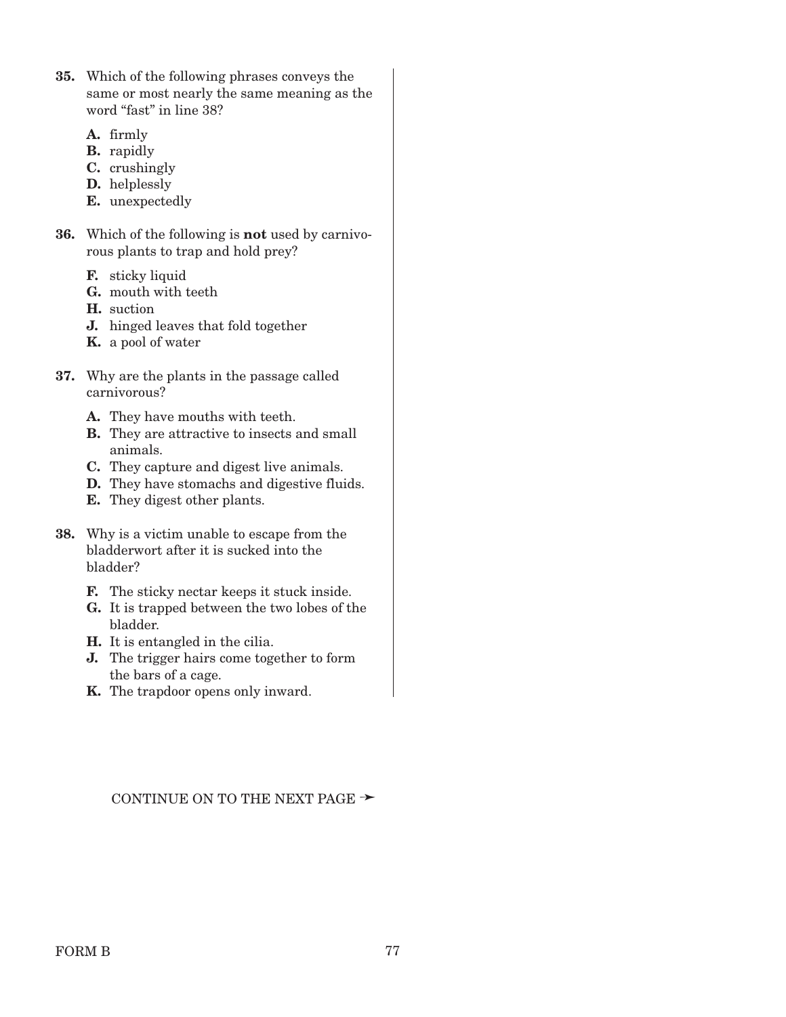- **35.** Which of the following phrases conveys the same or most nearly the same meaning as the word "fast" in line 38?
	- **A.** firmly
	- **B.** rapidly
	- **C.** crushingly
	- **D.** helplessly
	- **E.** unexpectedly
- **36.** Which of the following is **not** used by carnivorous plants to trap and hold prey?
	- **F.** sticky liquid
	- **G.** mouth with teeth
	- **H.** suction
	- **J.** hinged leaves that fold together
	- **K.** a pool of water
- **37.** Why are the plants in the passage called carnivorous?
	- **A.** They have mouths with teeth.
	- **B.** They are attractive to insects and small animals.
	- **C.** They capture and digest live animals.
	- **D.** They have stomachs and digestive fluids.
	- **E.** They digest other plants.
- **38.** Why is a victim unable to escape from the bladderwort after it is sucked into the bladder?
	- **F.** The sticky nectar keeps it stuck inside.
	- **G.** It is trapped between the two lobes of the bladder.
	- **H.** It is entangled in the cilia.
	- **J.** The trigger hairs come together to form the bars of a cage.
	- **K.** The trapdoor opens only inward.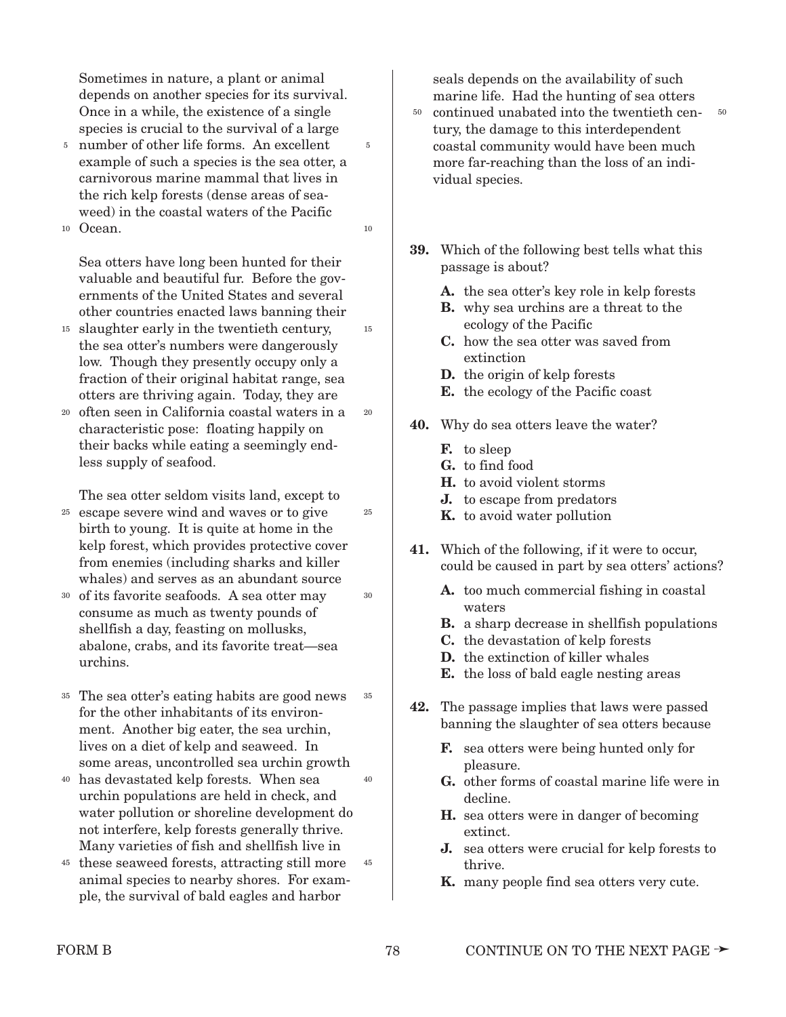Sometimes in nature, a plant or animal depends on another species for its survival. Once in a while, the existence of a single species is crucial to the survival of a large

5

10

15

20

25

30

- number of other life forms. An excellent 5 example of such a species is the sea otter, a carnivorous marine mammal that lives in the rich kelp forests (dense areas of seaweed) in the coastal waters of the Pacific
- Ocean. 10

Sea otters have long been hunted for their valuable and beautiful fur. Before the governments of the United States and several other countries enacted laws banning their

- slaughter early in the twentieth century, 15 the sea otter's numbers were dangerously low. Though they presently occupy only a fraction of their original habitat range, sea otters are thriving again. Today, they are
- <sup>20</sup> often seen in California coastal waters in a characteristic pose: floating happily on their backs while eating a seemingly endless supply of seafood.

The sea otter seldom visits land, except to

- escape severe wind and waves or to give 25 birth to young. It is quite at home in the kelp forest, which provides protective cover from enemies (including sharks and killer whales) and serves as an abundant source
- of its favorite seafoods. A sea otter may 30 consume as much as twenty pounds of shellfish a day, feasting on mollusks, abalone, crabs, and its favorite treat—sea urchins.
- The sea otter's eating habits are good news 35 for the other inhabitants of its environment. Another big eater, the sea urchin, lives on a diet of kelp and seaweed. In some areas, uncontrolled sea urchin growth 35
- has devastated kelp forests. When sea 40 urchin populations are held in check, and water pollution or shoreline development do not interfere, kelp forests generally thrive. Many varieties of fish and shellfish live in 40
- <sup>45</sup> these seaweed forests, attracting still more animal species to nearby shores. For example, the survival of bald eagles and harbor 45

seals depends on the availability of such marine life. Had the hunting of sea otters

- $50$  continued unabated into the twentieth cen- $50$ tury, the damage to this interdependent coastal community would have been much more far-reaching than the loss of an individual species.
- **39.** Which of the following best tells what this passage is about?
	- **A.** the sea otter's key role in kelp forests
	- **B.** why sea urchins are a threat to the ecology of the Pacific
	- **C.** how the sea otter was saved from extinction
	- **D.** the origin of kelp forests
	- **E.** the ecology of the Pacific coast
- **40.** Why do sea otters leave the water?
	- **F.** to sleep
	- **G.** to find food
	- **H.** to avoid violent storms
	- **J.** to escape from predators
	- **K.** to avoid water pollution
- **41.** Which of the following, if it were to occur, could be caused in part by sea otters' actions?
	- **A.** too much commercial fishing in coastal waters
	- **B.** a sharp decrease in shellfish populations
	- **C.** the devastation of kelp forests
	- **D.** the extinction of killer whales
	- **E.** the loss of bald eagle nesting areas
- **42.** The passage implies that laws were passed banning the slaughter of sea otters because
	- **F.** sea otters were being hunted only for pleasure.
	- **G.** other forms of coastal marine life were in decline.
	- **H.** sea otters were in danger of becoming extinct.
	- **J.** sea otters were crucial for kelp forests to thrive.
	- **K.** many people find sea otters very cute.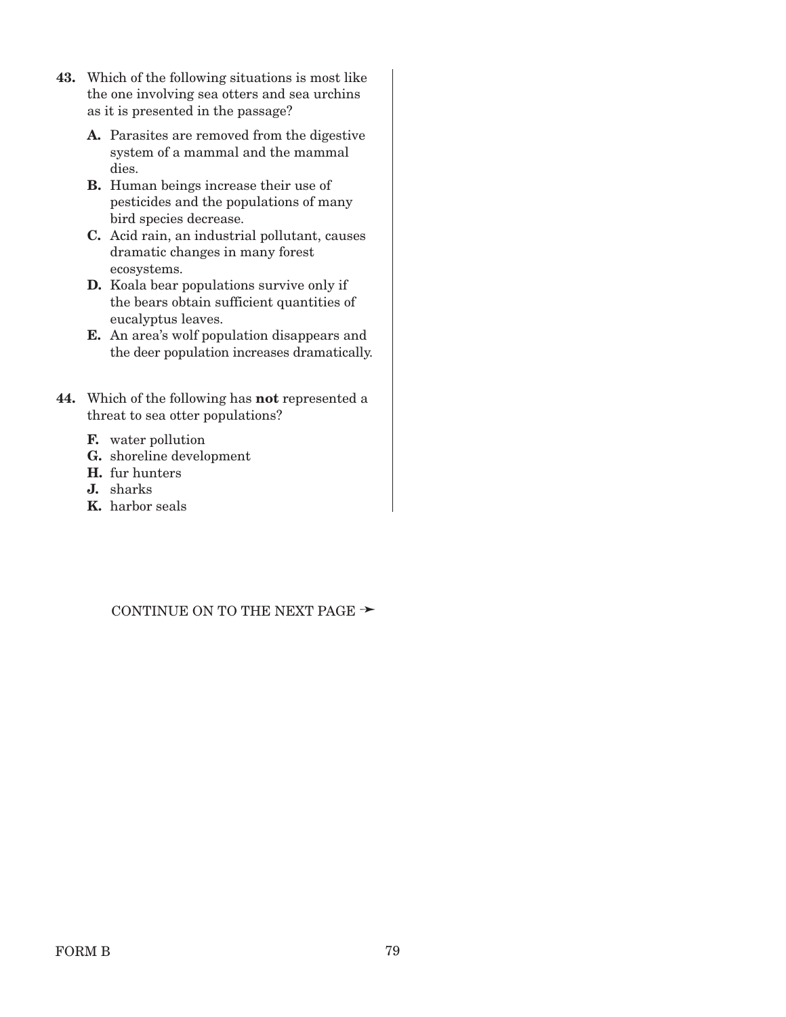- **43.** Which of the following situations is most like the one involving sea otters and sea urchins as it is presented in the passage?
	- **A.** Parasites are removed from the digestive system of a mammal and the mammal dies.
	- **B.** Human beings increase their use of pesticides and the populations of many bird species decrease.
	- **C.** Acid rain, an industrial pollutant, causes dramatic changes in many forest ecosystems.
	- **D.** Koala bear populations survive only if the bears obtain sufficient quantities of eucalyptus leaves.
	- **E.** An area's wolf population disappears and the deer population increases dramatically.
- **44.** Which of the following has **not** represented a threat to sea otter populations?
	- **F.** water pollution
	- **G.** shoreline development
	- **H.** fur hunters
	- **J.** sharks
	- **K.** harbor seals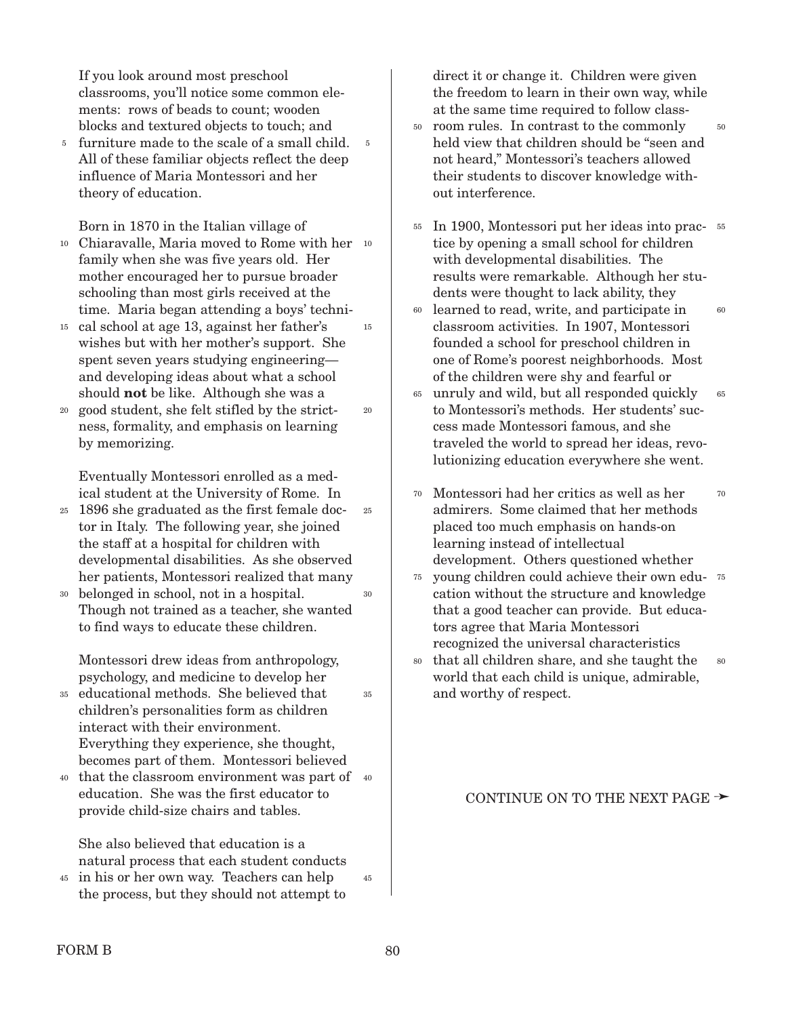If you look around most preschool classrooms, you'll notice some common elements: rows of beads to count; wooden blocks and textured objects to touch; and

5 furniture made to the scale of a small child. 5 All of these familiar objects reflect the deep influence of Maria Montessori and her theory of education.

Born in 1870 in the Italian village of

- Chiaravalle, Maria moved to Rome with her 10 10 family when she was five years old. Her mother encouraged her to pursue broader schooling than most girls received at the time. Maria began attending a boys' techni-15
- cal school at age 13, against her father's 15 wishes but with her mother's support. She spent seven years studying engineering and developing ideas about what a school should **not** be like. Although she was a
- good student, she felt stifled by the strictness, formality, and emphasis on learning by memorizing. 20

Eventually Montessori enrolled as a medical student at the University of Rome. In

- 1896 she graduated as the first female doc-25 tor in Italy. The following year, she joined the staff at a hospital for children with developmental disabilities. As she observed her patients, Montessori realized that many 25 30
- belonged in school, not in a hospital. 30 Though not trained as a teacher, she wanted to find ways to educate these children.

Montessori drew ideas from anthropology, psychology, and medicine to develop her

- educational methods. She believed that 35 children's personalities form as children interact with their environment. Everything they experience, she thought, becomes part of them. Montessori believed 35
- 40 that the classroom environment was part of 40 education. She was the first educator to provide child-size chairs and tables.

She also believed that education is a natural process that each student conducts

in his or her own way. Teachers can help 45 the process, but they should not attempt to 45 direct it or change it. Children were given the freedom to learn in their own way, while at the same time required to follow class-

- room rules. In contrast to the commonly 50 held view that children should be "seen and not heard," Montessori's teachers allowed their students to discover knowledge without interference. 50
- In 1900, Montessori put her ideas into prac-55 55 tice by opening a small school for children with developmental disabilities. The results were remarkable. Although her students were thought to lack ability, they
- <sup>60</sup> learned to read, write, and participate in classroom activities. In 1907, Montessori founded a school for preschool children in one of Rome's poorest neighborhoods. Most of the children were shy and fearful or 60
- unruly and wild, but all responded quickly 65 to Montessori's methods. Her students' success made Montessori famous, and she traveled the world to spread her ideas, revolutionizing education everywhere she went. 65
- Montessori had her critics as well as her 70 admirers. Some claimed that her methods placed too much emphasis on hands-on learning instead of intellectual development. Others questioned whether 70
- 75 young children could achieve their own education without the structure and knowledge that a good teacher can provide. But educators agree that Maria Montessori recognized the universal characteristics
- <sup>80</sup> that all children share, and she taught the world that each child is unique, admirable, and worthy of respect. 80

#### CONTINUE ON TO THE NEXT PAGE  $\rightarrow$

20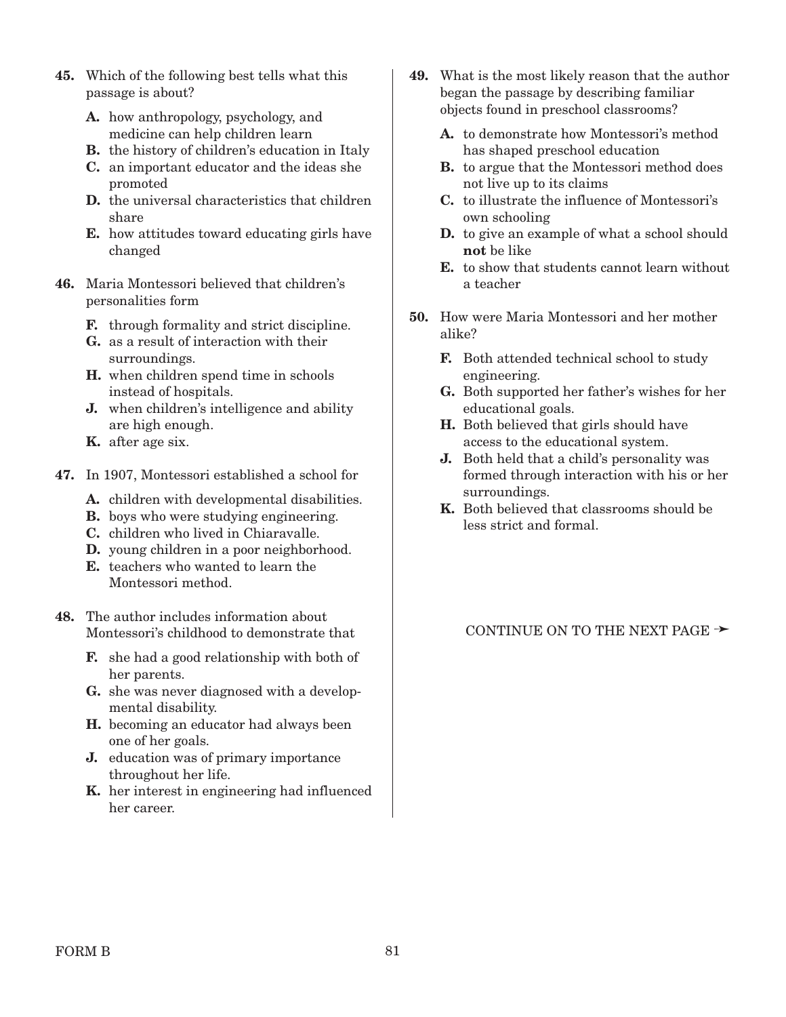- **45.** Which of the following best tells what this passage is about?
	- **A.** how anthropology, psychology, and medicine can help children learn
	- **B.** the history of children's education in Italy
	- **C.** an important educator and the ideas she promoted
	- **D.** the universal characteristics that children share
	- **E.** how attitudes toward educating girls have changed
- **46.** Maria Montessori believed that children's personalities form
	- **F.** through formality and strict discipline.
	- **G.** as a result of interaction with their surroundings.
	- **H.** when children spend time in schools instead of hospitals.
	- **J.** when children's intelligence and ability are high enough.
	- **K.** after age six.
- **47.** In 1907, Montessori established a school for
	- **A.** children with developmental disabilities.
	- **B.** boys who were studying engineering.
	- **C.** children who lived in Chiaravalle.
	- **D.** young children in a poor neighborhood.
	- **E.** teachers who wanted to learn the Montessori method.
- **48.** The author includes information about Montessori's childhood to demonstrate that
	- **F.** she had a good relationship with both of her parents.
	- **G.** she was never diagnosed with a developmental disability.
	- **H.** becoming an educator had always been one of her goals.
	- **J.** education was of primary importance throughout her life.
	- **K.** her interest in engineering had influenced her career.
- **49.** What is the most likely reason that the author began the passage by describing familiar objects found in preschool classrooms?
	- **A.** to demonstrate how Montessori's method has shaped preschool education
	- **B.** to argue that the Montessori method does not live up to its claims
	- **C.** to illustrate the influence of Montessori's own schooling
	- **D.** to give an example of what a school should **not** be like
	- **E.** to show that students cannot learn without a teacher
- **50.** How were Maria Montessori and her mother alike?
	- **F.** Both attended technical school to study engineering.
	- **G.** Both supported her father's wishes for her educational goals.
	- **H.** Both believed that girls should have access to the educational system.
	- **J.** Both held that a child's personality was formed through interaction with his or her surroundings.
	- **K.** Both believed that classrooms should be less strict and formal.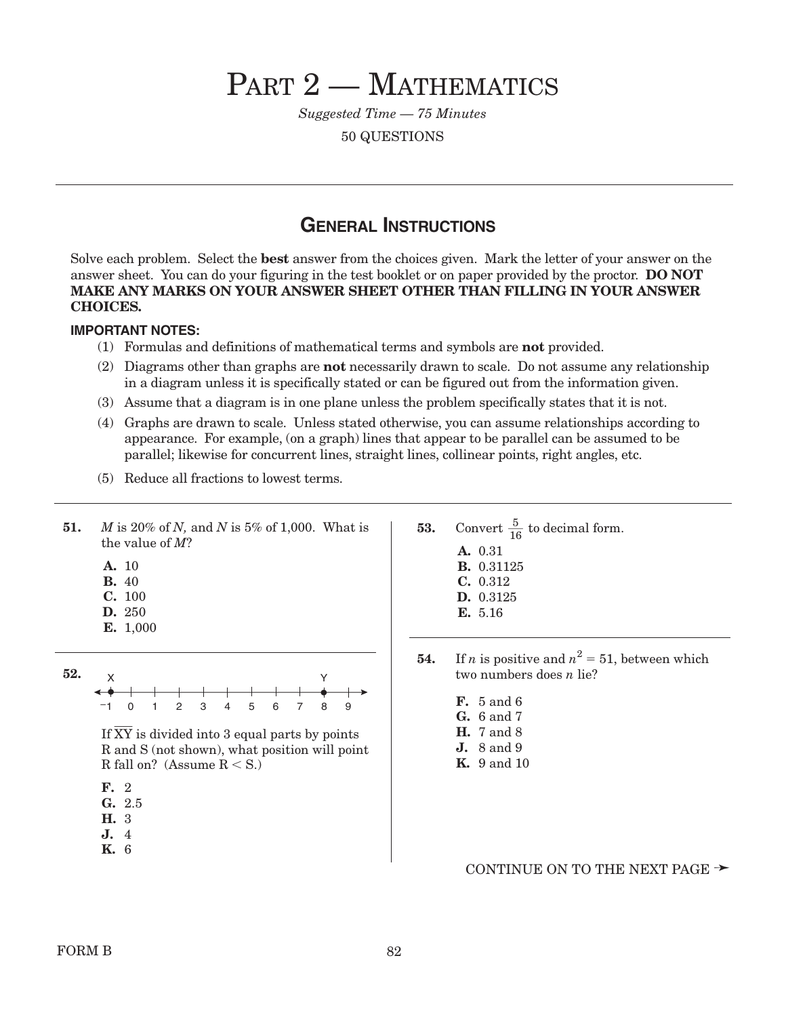# PART 2 - MATHEMATICS

*Suggested Time — 75 Minutes*

50 QUESTIONS

### **GENERAL INSTRUCTIONS**

Solve each problem. Select the **best** answer from the choices given. Mark the letter of your answer on the answer sheet. You can do your figuring in the test booklet or on paper provided by the proctor. **DO NOT MAKE ANY MARKS ON YOUR ANSWER SHEET OTHER THAN FILLING IN YOUR ANSWER CHOICES.**

#### **IMPORTANT NOTES:**

- (1) Formulas and definitions of mathematical terms and symbols are **not** provided.
- (2) Diagrams other than graphs are **not** necessarily drawn to scale. Do not assume any relationship in a diagram unless it is specifically stated or can be figured out from the information given.
- (3) Assume that a diagram is in one plane unless the problem specifically states that it is not.
- (4) Graphs are drawn to scale. Unless stated otherwise, you can assume relationships according to appearance. For example, (on a graph) lines that appear to be parallel can be assumed to be parallel; likewise for concurrent lines, straight lines, collinear points, right angles, etc.
- (5) Reduce all fractions to lowest terms.

| 51. | M is 20% of N, and N is 5% of 1,000. What is |  |
|-----|----------------------------------------------|--|
|     | the value of $M$ ?                           |  |

- **A.** 10
- **B.** 40
- **C.** 100
- **D.** 250
- **E.** 1,000



If XY is divided into 3 equal parts by points R and S (not shown), what position will point R fall on? (Assume  $\rm R < S.$  )

- **F.** 2
- **G.** 2.5
- **H.** 3
- **J.** 4
- **K.** 6
- **53.** Convert  $\frac{5}{16}$  to decimal form. **A.** 0.31 **B.** 0.31125 **C.** 0.312 **D.** 0.3125 **E.** 5.16 16
- **54.** If *n* is positive and  $n^2 = 51$ , between which two numbers does *n* lie?
	- **F.** 5 and 6
	- **G.** 6 and 7
	- **H.** 7 and 8
	- **J.** 8 and 9
	- **K.** 9 and 10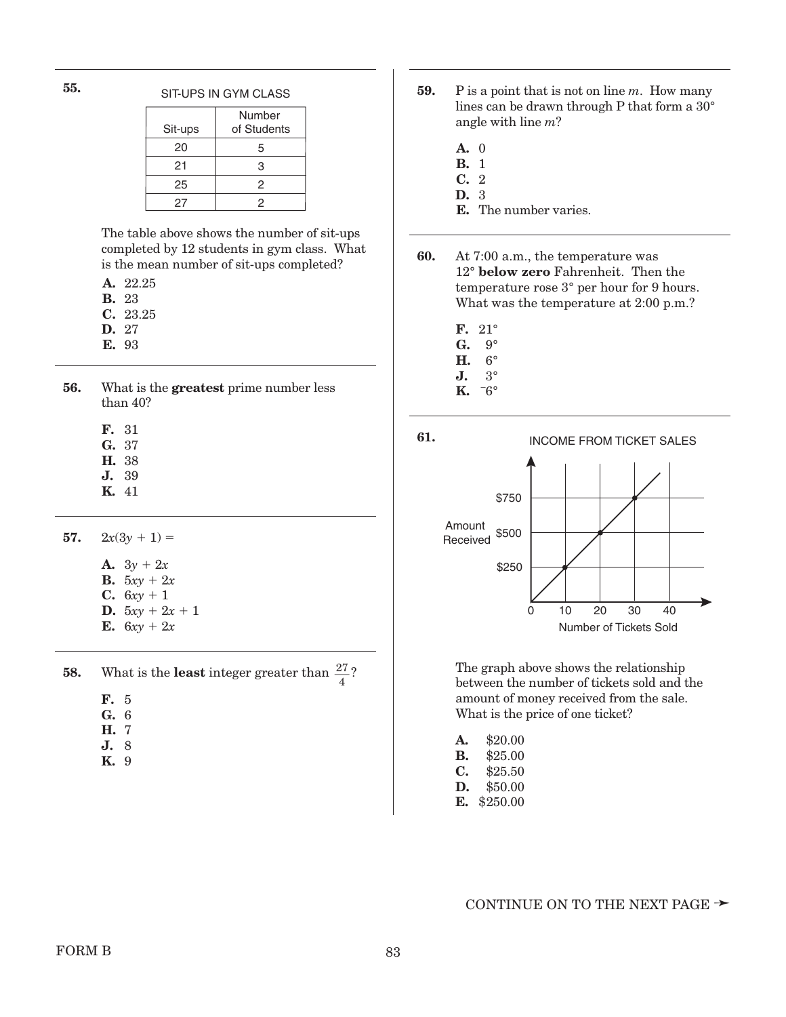|         | Number      |
|---------|-------------|
| Sit-ups | of Students |
| 20      | 5           |
| 21      | 3           |
| 25      | 2           |
| 27      | 2           |

The table above shows the number of sit-ups completed by 12 students in gym class. What is the mean number of sit-ups completed?

- **A.** 22.25
- **B.** 23
- **C.** 23.25
- **D.** 27
- **E.** 93
- **56.** What is the **greatest** prime number less than 40?
	- **F.** 31
	- **G.** 37
	- **H.** 38
	- **J.** 39
	- **K.** 41
- **57.**  $2x(3y + 1) =$ 
	- **A.**  $3y + 2x$ **B.**  $5xy + 2x$ **C.**  $6xy + 1$ **D.**  $5xy + 2x + 1$

**E.**  $6xy + 2x$ 

- 
- **58.** What is the **least** integer greater than  $\frac{27}{4}$ ?
	- **F.** 5
	- **G.** 6 **H.** 7
	- **J.** 8
	- **K.** 9
- SIT-UPS IN GYM CLASS **59.** P is a point that is not on line *m*. How many lines can be drawn through P that form a 30° angle with line *m*?
	- **A.** 0
	- **B.** 1
	- **C.** 2
	- **D.** 3
	- **E.** The number varies.
	- **60.** At 7:00 a.m., the temperature was 12° **below zero** Fahrenheit. Then the temperature rose 3° per hour for 9 hours. What was the temperature at 2:00 p.m.?
		- **F.** 21°
		- **G.** 9°
		- **H.** 6°
		- **J.** 3°
		- **K.** \_  $-6^\circ$



The graph above shows the relationship between the number of tickets sold and the amount of money received from the sale. What is the price of one ticket?

| A. | \$20.00 |
|----|---------|
| В. | \$25.00 |

- **C.** \$25.50
- **D.** \$50.00
- **E.** \$250.00

**<sup>55.</sup>**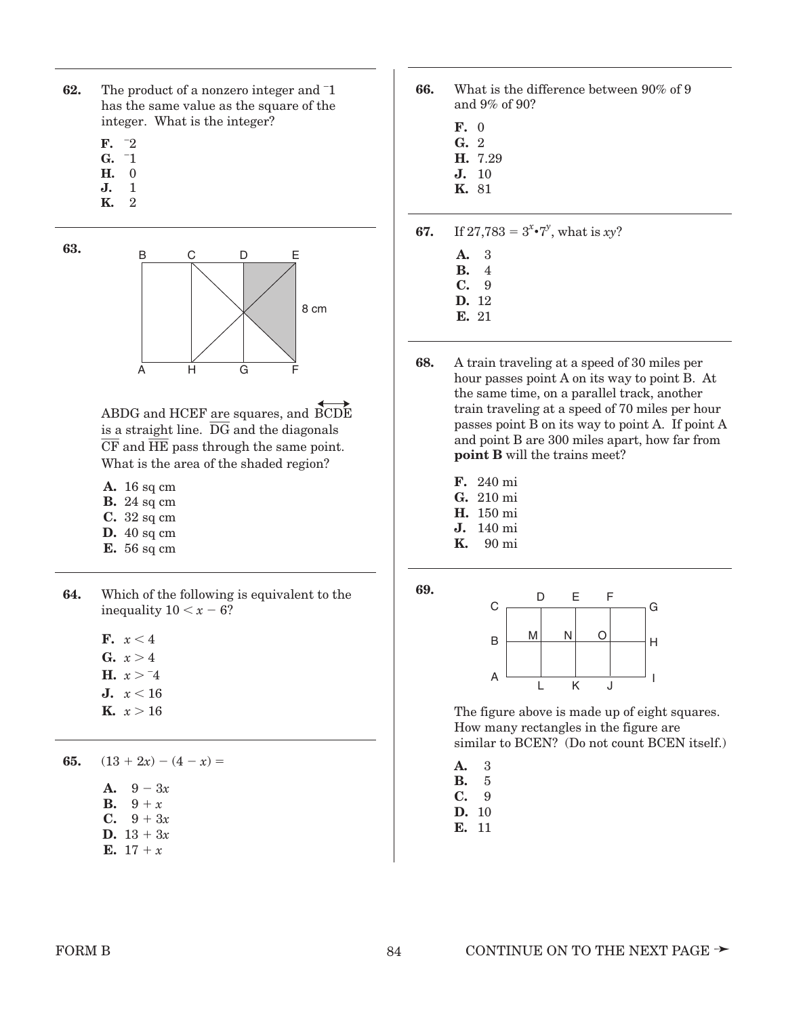- **62.** The product of a nonzero integer and <sup>-1</sup> has the same value as the square of the integer. What is the integer?
	- $\mathbf{F.}$   $^{-2}$
	- $\mathbf{G.}$   $\overline{1}$ **H.** \_ 0
	- **J.**  $\frac{0}{1}$
	- **K.**  $\frac{1}{2}$

**63.**



ABDG and HCEF are squares, and BCDE is a straight line. DG and the diagonals  $\overline{CF}$  and  $\overline{HE}$  pass through the same point. What is the area of the shaded region?

- **A.** 16 sq cm
- **B.** 24 sq cm
- **C.** 32 sq cm
- **D.** 40 sq cm
- **E.** 56 sq cm
- **64.** Which of the following is equivalent to the inequality  $10 < x - 6$ ?

**F.**  $x < 4$ 

- **G.**  $x > 4$
- **H.**  $x > -4$
- **J.**  $x < 16$
- **K.**  $x > 16$

**65.**  $(13 + 2x) - (4 - x) =$ 

- **A.**  $9 3x$ **B.**  $9 + x$ **C.**  $9 + 3x$
- **D.**  $13 + 3x$
- **E.** 17 + *x*
- **66.** What is the difference between 90% of 9 and 9% of 90?
	- **F.** 0
	- **G.** 2
	- **H.** 7.29 **J.** 10
	- **K.** 81

**67.** If  $27,783 = 3^{x} \cdot 7^{y}$ , what is *xy*?

- **A.** 3
- **B.** 14
- **C.** 19
- **D.** 12
- **E.** 21
- **68.** A train traveling at a speed of 30 miles per hour passes point A on its way to point B. At the same time, on a parallel track, another train traveling at a speed of 70 miles per hour passes point B on its way to point A. If point A and point B are 300 miles apart, how far from **point B** will the trains meet?
	- **F.** 240 mi
	- **G.** 210 mi
	- **H.** 150 mi
	- **J.** 140 mi<br>**K.** 90 mi **K.** 190 mi
	-





The figure above is made up of eight squares. How many rectangles in the figure are similar to BCEN? (Do not count BCEN itself.)

- **A.** 3
- **B.** 5
- **C.** 9
- **D.** 10
- **E.** 11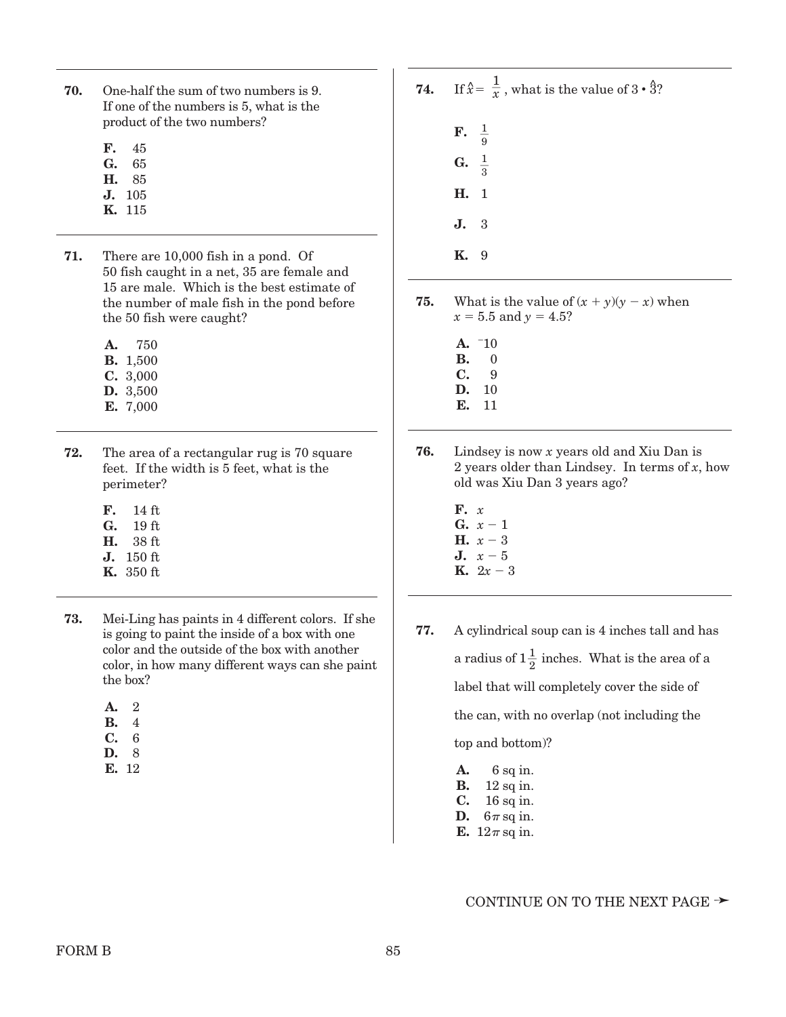- **70.** One-half the sum of two numbers is 9. If one of the numbers is 5, what is the product of the two numbers?
	- **F.** 45
	- **G.** 65
	- **H.** 85
	- **J.** 105
	- **K.** 115
- **71.** There are 10,000 fish in a pond. Of 50 fish caught in a net, 35 are female and 15 are male. Which is the best estimate of the number of male fish in the pond before the 50 fish were caught?
	- **A.** 750
	- **B.** 1,500 **C.** 3,000
	- **D.** 3,500
	- **E.** 7,000
- **72.** The area of a rectangular rug is 70 square feet. If the width is 5 feet, what is the perimeter?
	- **F.** 114 ft
	- G. 19 ft.
	- **H.** 138 ft
	- **J.** 150 ft
	- **K.** 350 ft
- **73.** Mei-Ling has paints in 4 different colors. If she is going to paint the inside of a box with one color and the outside of the box with another color, in how many different ways can she paint the box?
	- **A.** 2
	- **B.** 4
	- **C.** 6
	- **D.** 8
	- **E.** 12
- **74.** If  $\hat{x} = \frac{1}{x}$ , what is the value of  $3 \cdot \hat{3}$ ? **F. G. H.** 1 **J.** 3 **K.** 9  $rac{1}{3}$  $rac{1}{9}$
- **75.** What is the value of  $(x + y)(y x)$  when  $x = 5.5$  and  $y = 4.5$ ?
	- $A. 710$
	- **B.** 0
	- **C.** 9 **D.** 10
	- **E.** 11
- **76.** Lindsey is now *x* years old and Xiu Dan is 2 years older than Lindsey. In terms of *x*, how old was Xiu Dan 3 years ago?
	- **F.** *x* **G.**  $x - 1$ **H.**  $x - 3$
	- **J.**  $x 5$
	- **K.**  $2x 3$
- **77.** A cylindrical soup can is 4 inches tall and has a radius of  $1\frac{1}{2}$  inches. What is the area of a label that will completely cover the side of the can, with no overlap (not including the top and bottom)?
	- **A.** 6 sq in. **B.** 12 sq in. **C.** 16 sq in. **D.**  $6\pi$  sq in. **E.**  $12\pi$  sq in.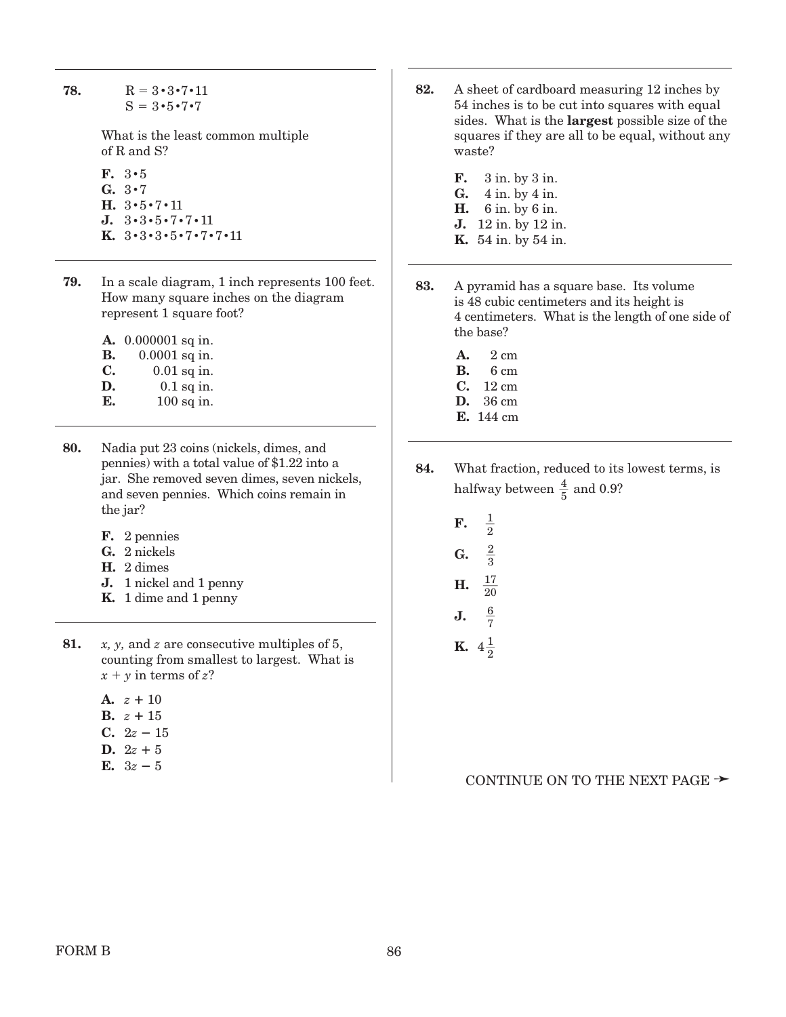**78.**  $R = 3 \cdot 3 \cdot 7 \cdot 11$  $S = 3 \cdot 5 \cdot 7 \cdot 7$ 

> What is the least common multiple of R and S?

- **F.** 3**•**5 **G.** 3**•**7 **H.** 3**•**5**•**7**•**11 **J.** 3**•**3**•**5**•**7**•**7**•**11 **K.** 3**•**3**•**3**•**5**•**7**•**7 **•**7 **•**11
- **79.** In a scale diagram, 1 inch represents 100 feet. How many square inches on the diagram represent 1 square foot?

**A.** 0.000001 sq in.

- **B.** 0.0001 sq in. **C.** 0.01 sq in.
- **D.** 0.1 sq in.
- **E.** 100 sq in.
- **80.** Nadia put 23 coins (nickels, dimes, and pennies) with a total value of \$1.22 into a jar. She removed seven dimes, seven nickels, and seven pennies. Which coins remain in the jar?
	- **F.** 2 pennies
	- **G.** 2 nickels
	- **H.** 2 dimes
	- **J.** 1 nickel and 1 penny
	- **K.** 1 dime and 1 penny
- **81.** *x, y,* and *z* are consecutive multiples of 5, counting from smallest to largest. What is  $x + y$  in terms of *z*?
	- **A.**  $z + 10$ **B.**  $z + 15$
	- **C.**  $2z 15$
	- **D.**  $2z + 5$
	- **E.**  $3z 5$
- **82.** A sheet of cardboard measuring 12 inches by 54 inches is to be cut into squares with equal sides. What is the **largest** possible size of the squares if they are all to be equal, without any waste?
	- **F.** 3 in. by 3 in. **G.** 4 in. by 4 in. **H.** 6 in. by 6 in. **J.** 12 in. by 12 in. **K.** 54 in. by 54 in.
- **83.** A pyramid has a square base. Its volume is 48 cubic centimeters and its height is 4 centimeters. What is the length of one side of the base?
	- **A.** 2 cm
	- **B.** 6 cm
	- **C.** 12 cm **D.** 36 cm
	- **E.** 144 cm
- **84.** What fraction, reduced to its lowest terms, is halfway between  $\frac{4}{5}$  and 0.9?
	- **F. G.**  $\frac{1}{2}$
	- **H.**  $rac{17}{17}$  $rac{2}{3}$
	- **J.**  $rac{6}{7}$ 20
	- **K.**  $4\frac{1}{2}$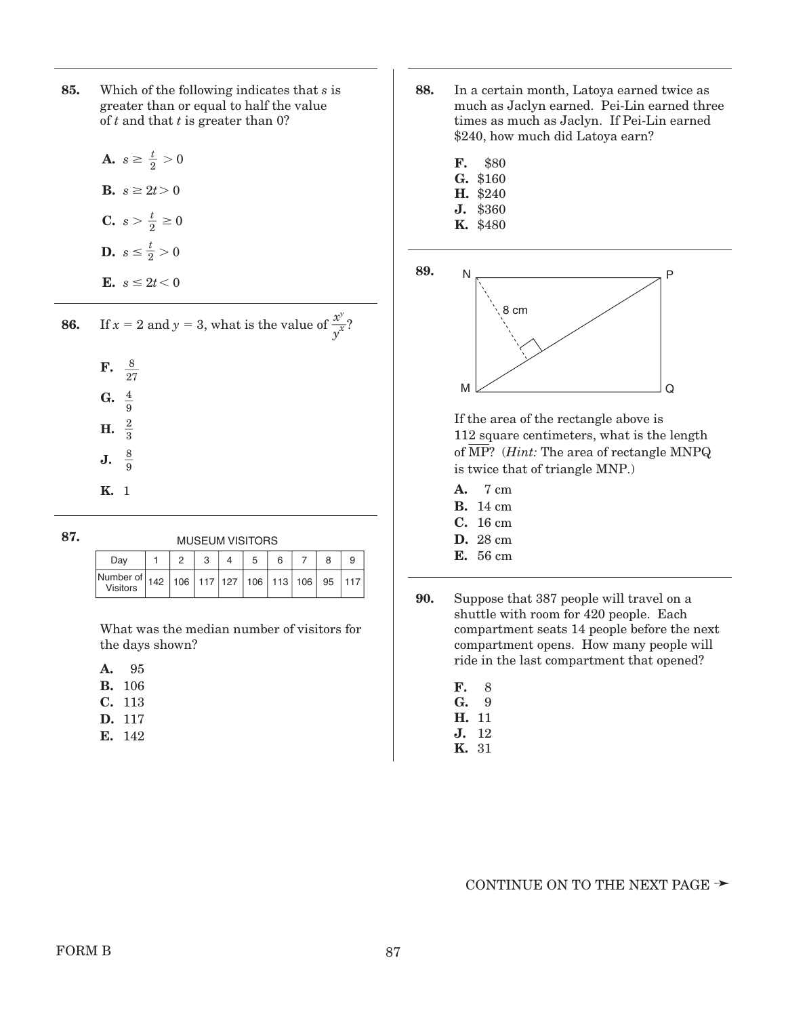- **85.** Which of the following indicates that *s* is greater than or equal to half the value of *t* and that *t* is greater than 0?
	- **A.**  $s \geq \frac{t}{2} > 0$ **B.**  $s \ge 2t > 0$ **C.**  $s > \frac{t}{2} \ge 0$ **D.**  $s \leq \frac{t}{2} > 0$ **E.**  $s \leq 2t < 0$

| 86. | If $x = 2$ and $y = 3$ , what is the value of $\frac{x^y}{y^x}$ ? |
|-----|-------------------------------------------------------------------|
|     | <b>F.</b> $\frac{8}{27}$                                          |
|     | G. $\frac{4}{9}$                                                  |
|     | <b>H.</b> $\frac{2}{3}$                                           |
|     | <b>J.</b> $\frac{8}{9}$                                           |
|     |                                                                   |

| v<br>I<br>۰.<br>×<br>.,<br>۰. | $\sim$ | ×<br>٠ |
|-------------------------------|--------|--------|
|                               |        |        |

| <b>MUSEUM VISITORS</b>                                                              |  |  |  |  |  |  |  |
|-------------------------------------------------------------------------------------|--|--|--|--|--|--|--|
| Dav                                                                                 |  |  |  |  |  |  |  |
| Number of   142   106   117   127   106   113   106   95   117  <br><b>Visitors</b> |  |  |  |  |  |  |  |

What was the median number of visitors for the days shown?

| т<br>×<br>۰, |
|--------------|
|              |

**K.** 1

- **B.** 106
- **C.** 113
- **D.** 117
- **E.** 142
- **88.** In a certain month, Latoya earned twice as much as Jaclyn earned. Pei-Lin earned three times as much as Jaclyn. If Pei-Lin earned \$240, how much did Latoya earn?
	- **F.** \$80
	- **G.** \$160
	- **H.** \$240 **J.** \$360
	- **K.** \$480
- **89.**



If the area of the rectangle above is 112 square centimeters, what is the length of  $\overline{\text{MP}}$ ? (*Hint:* The area of rectangle MNPQ is twice that of triangle MNP.)

- **A.** 7 cm
- **B.** 14 cm
- **C.** 16 cm
- **D.** 28 cm
- **E.** 56 cm
- **90.** Suppose that 387 people will travel on a shuttle with room for 420 people. Each compartment seats 14 people before the next compartment opens. How many people will ride in the last compartment that opened?
	- **F.** 18 **G.** 19
	- **H.** 11
	- **J.** 12
	- **K.** 31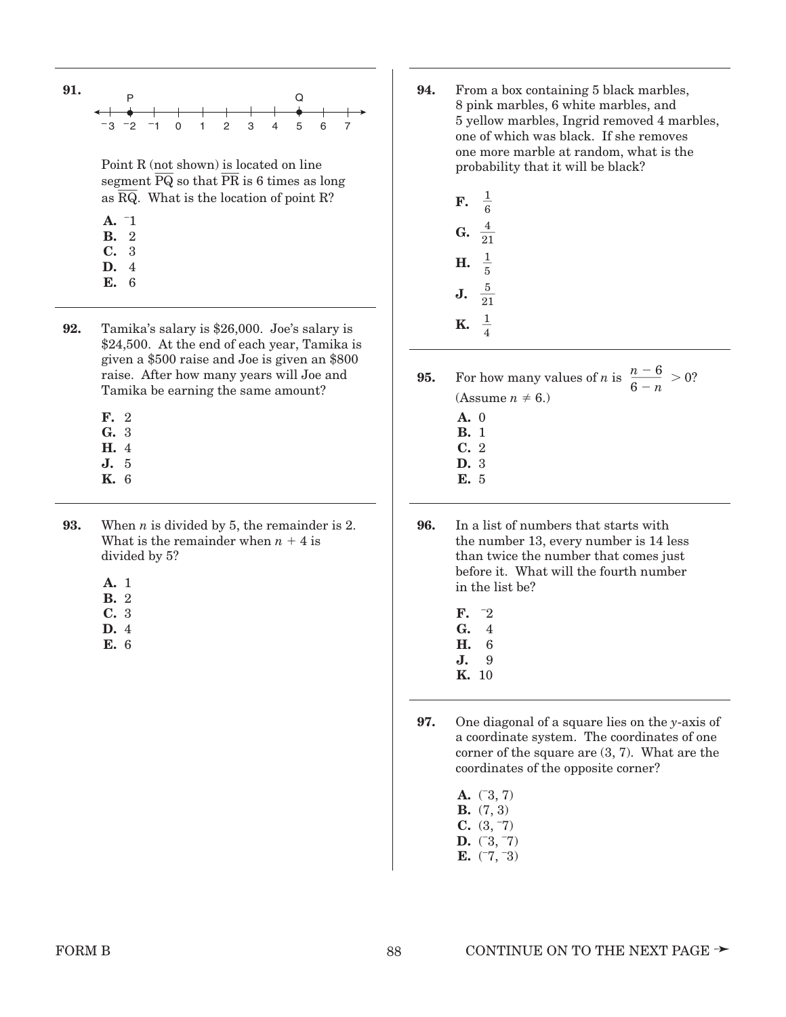

- **92.** Tamika's salary is \$26,000. Joe's salary is \$24,500. At the end of each year, Tamika is given a \$500 raise and Joe is given an \$800 raise. After how many years will Joe and Tamika be earning the same amount?
	- **F.** 2
	- **G.** 3
	- **H.** 4
	- **J.** 5 **K.** 6
	-
- **93.** When *n* is divided by 5, the remainder is 2. What is the remainder when  $n + 4$  is divided by 5?
	- **A.** 1
	- **B.** 2
	- **C.** 3
	- **D.** 4
	- **E.** 6
- **94.** From a box containing 5 black marbles, 8 pink marbles, 6 white marbles, and 5 yellow marbles, Ingrid removed 4 marbles, one of which was black. If she removes one more marble at random, what is the probability that it will be black?
	- **F. G. H. J. K.**  $\frac{1}{4}$  $rac{5}{21}$  $\frac{1}{5}$  $\frac{4}{21}$  $\frac{1}{6}$
- **95.** For how many values of *n* is  $\frac{n-6}{2} > 0$ ? (Assume  $n \neq 6$ .)  $6 - n$ 
	- **A.** 0
	- **B.** 1
	- **C.** 2
	- **D.** 3
	- **E.** 5
- **96.** In a list of numbers that starts with the number 13, every number is 14 less than twice the number that comes just before it. What will the fourth number in the list be?
	- **F.** \_  $\mathbf{C}^2$ **G.** 4
	- **H.** 6
	- **J.** 9
	- **K.** 10
- **97.** One diagonal of a square lies on the *y*-axis of a coordinate system. The coordinates of one corner of the square are (3, 7). What are the coordinates of the opposite corner?
	- **A.**  $(3, 7)$ **B.** (7, 3)  $\overline{C}$ . (3, 7) **D.**  $(3, 7)$
	- **E.**  $(7, 3)$